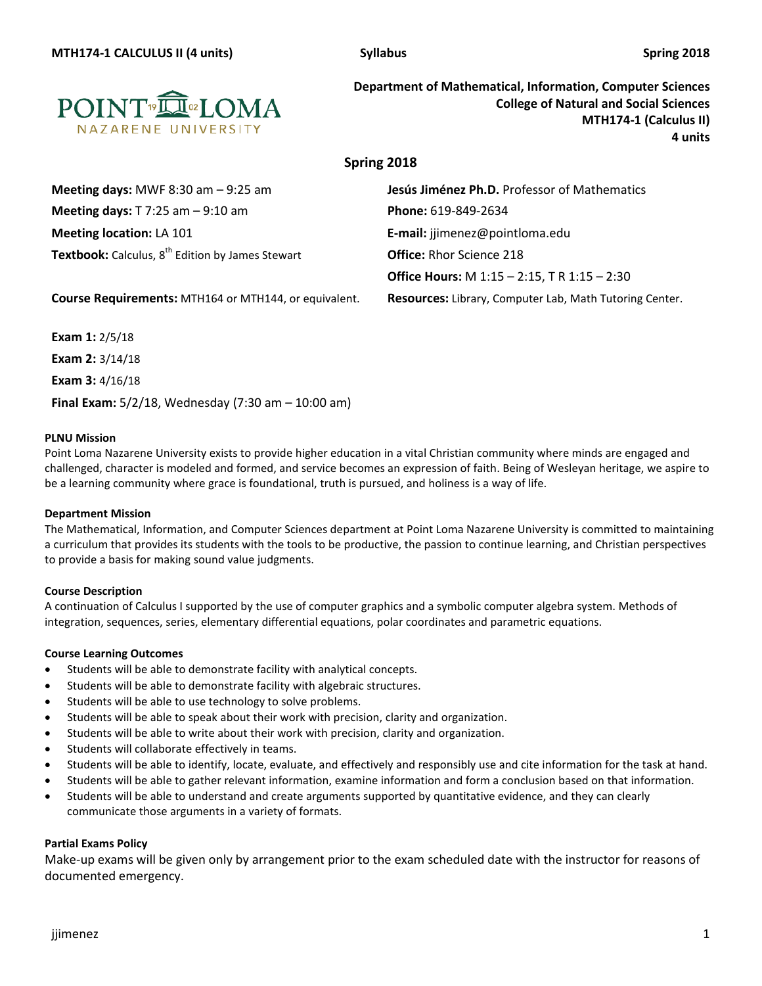

**Department of Mathematical, Information, Computer Sciences College of Natural and Social Sciences MTH174-1 (Calculus II) 4 units**

# **Spring 2018**

| Meeting days: MWF 8:30 am $-9:25$ am                         | Jesús Jiménez Ph.D. Professor of Mathematics        |
|--------------------------------------------------------------|-----------------------------------------------------|
| Meeting days: $T$ 7:25 am $-$ 9:10 am                        | <b>Phone: 619-849-2634</b>                          |
| <b>Meeting location: LA 101</b>                              | E-mail: jjimenez@pointloma.edu                      |
| Textbook: Calculus, 8 <sup>th</sup> Edition by James Stewart | <b>Office: Rhor Science 218</b>                     |
|                                                              | <b>Office Hours:</b> M 1:15 - 2:15, T R 1:15 - 2:30 |
|                                                              |                                                     |

**Course Requirements:** MTH164 or MTH144, or equivalent. **Resources:** Library, Computer Lab, Math Tutoring Center.

**Exam 1:** 2/5/18 **Exam 2:** 3/14/18 **Exam 3:** 4/16/18 **Final Exam:** 5/2/18, Wednesday (7:30 am – 10:00 am)

## **PLNU Mission**

Point Loma Nazarene University exists to provide higher education in a vital Christian community where minds are engaged and challenged, character is modeled and formed, and service becomes an expression of faith. Being of Wesleyan heritage, we aspire to be a learning community where grace is foundational, truth is pursued, and holiness is a way of life.

## **Department Mission**

The Mathematical, Information, and Computer Sciences department at Point Loma Nazarene University is committed to maintaining a curriculum that provides its students with the tools to be productive, the passion to continue learning, and Christian perspectives to provide a basis for making sound value judgments.

## **Course Description**

A continuation of Calculus I supported by the use of computer graphics and a symbolic computer algebra system. Methods of integration, sequences, series, elementary differential equations, polar coordinates and parametric equations.

## **Course Learning Outcomes**

- Students will be able to demonstrate facility with analytical concepts.
- Students will be able to demonstrate facility with algebraic structures.
- Students will be able to use technology to solve problems.
- Students will be able to speak about their work with precision, clarity and organization.
- Students will be able to write about their work with precision, clarity and organization.
- Students will collaborate effectively in teams.
- Students will be able to identify, locate, evaluate, and effectively and responsibly use and cite information for the task at hand.
- Students will be able to gather relevant information, examine information and form a conclusion based on that information.
- Students will be able to understand and create arguments supported by quantitative evidence, and they can clearly communicate those arguments in a variety of formats.

#### **Partial Exams Policy**

Make-up exams will be given only by arrangement prior to the exam scheduled date with the instructor for reasons of documented emergency.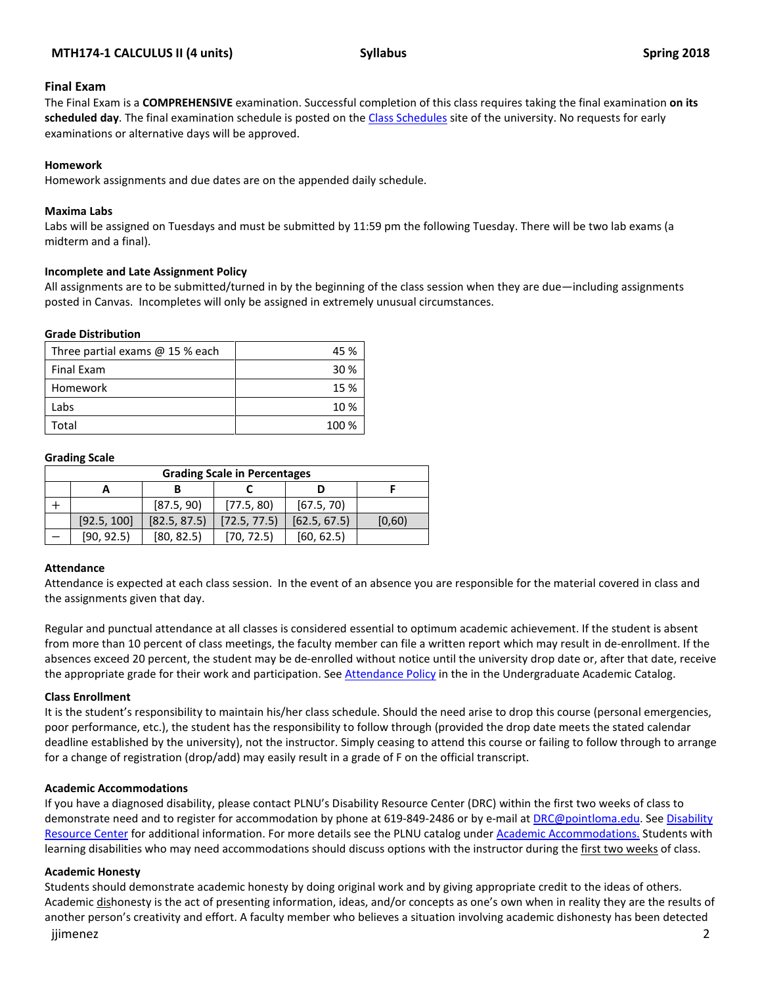## **MTH174-1 CALCULUS II (4 units) Syllabus Spring 2018**

### **Final Exam**

The Final Exam is a **COMPREHENSIVE** examination. Successful completion of this class requires taking the final examination **on its scheduled day**. The final examination schedule is posted on th[e Class Schedules](http://www.pointloma.edu/experience/academics/class-schedules) site of the university. No requests for early examinations or alternative days will be approved.

### **Homework**

Homework assignments and due dates are on the appended daily schedule.

#### **Maxima Labs**

Labs will be assigned on Tuesdays and must be submitted by 11:59 pm the following Tuesday. There will be two lab exams (a midterm and a final).

#### **Incomplete and Late Assignment Policy**

All assignments are to be submitted/turned in by the beginning of the class session when they are due—including assignments posted in Canvas. Incompletes will only be assigned in extremely unusual circumstances.

#### **Grade Distribution**

| Three partial exams $@$ 15 % each | 45 %            |
|-----------------------------------|-----------------|
| Final Exam                        | 30 <sup>%</sup> |
| Homework                          | 15 %            |
| Labs                              | 10 %            |
| Total                             | 100 %           |

#### **Grading Scale**

| <b>Grading Scale in Percentages</b> |             |              |              |              |        |
|-------------------------------------|-------------|--------------|--------------|--------------|--------|
|                                     |             |              |              |              |        |
|                                     |             | [87.5, 90]   | [77.5, 80]   | [67.5, 70]   |        |
|                                     | [92.5, 100] | [82.5, 87.5] | [72.5, 77.5] | [62.5, 67.5] | [0,60] |
|                                     | [90, 92.5]  | [80, 82.5]   | (70. 72.5)   | [60, 62.5]   |        |

#### **Attendance**

Attendance is expected at each class session. In the event of an absence you are responsible for the material covered in class and the assignments given that day.

Regular and punctual attendance at all classes is considered essential to optimum academic achievement. If the student is absent from more than 10 percent of class meetings, the faculty member can file a written report which may result in de-enrollment. If the absences exceed 20 percent, the student may be de-enrolled without notice until the university drop date or, after that date, receive the appropriate grade for their work and participation. See [Attendance Policy](https://catalog.pointloma.edu/content.php?catoid=28&navoid=1761#Class_Attendance) in the in the Undergraduate Academic Catalog.

#### **Class Enrollment**

It is the student's responsibility to maintain his/her class schedule. Should the need arise to drop this course (personal emergencies, poor performance, etc.), the student has the responsibility to follow through (provided the drop date meets the stated calendar deadline established by the university), not the instructor. Simply ceasing to attend this course or failing to follow through to arrange for a change of registration (drop/add) may easily result in a grade of F on the official transcript.

## **Academic Accommodations**

If you have a diagnosed disability, please contact PLNU's Disability Resource Center (DRC) within the first two weeks of class to demonstrate need and to register for accommodation by phone at 619-849-2486 or by e-mail a[t DRC@pointloma.edu.](mailto:DRC@pointloma.edu) See [Disability](http://www.pointloma.edu/experience/offices/administrative-offices/academic-advising-office/disability-resource-center)  [Resource Center](http://www.pointloma.edu/experience/offices/administrative-offices/academic-advising-office/disability-resource-center) for additional information. For more details see the PLNU catalog under [Academic Accommodations.](https://catalog.pointloma.edu/content.php?catoid=28&navoid=1761#Academic_Accommodations) Students with learning disabilities who may need accommodations should discuss options with the instructor during the first two weeks of class.

## **Academic Honesty**

jjimenez 2 Students should demonstrate academic honesty by doing original work and by giving appropriate credit to the ideas of others. Academic dishonesty is the act of presenting information, ideas, and/or concepts as one's own when in reality they are the results of another person's creativity and effort. A faculty member who believes a situation involving academic dishonesty has been detected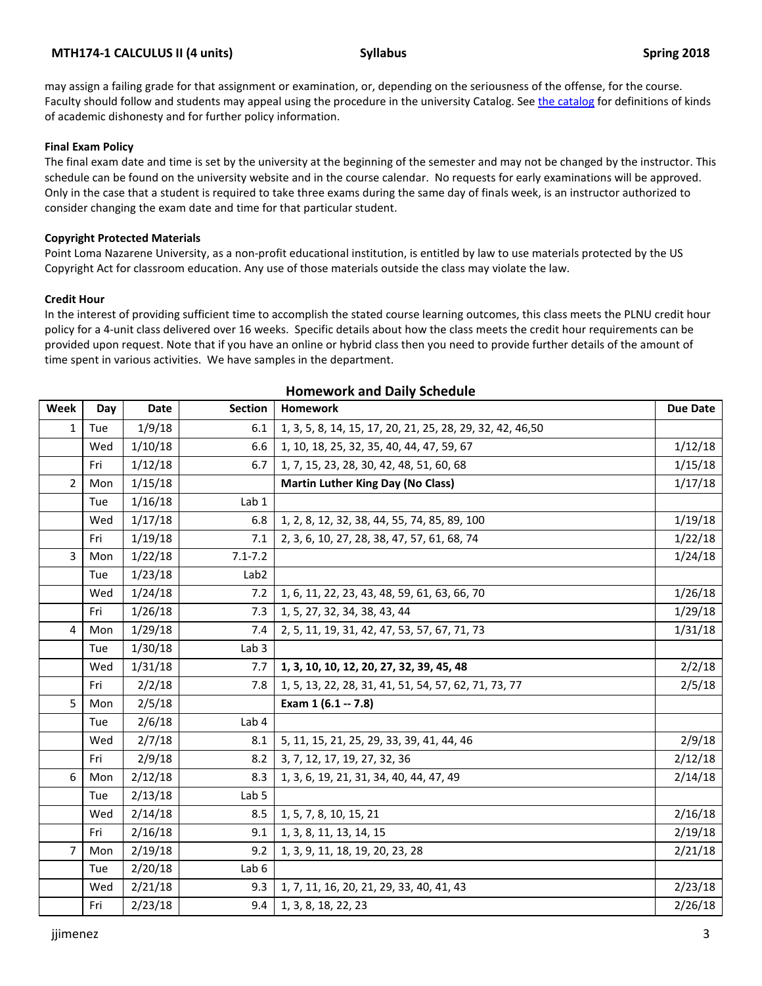## **MTH174-1 CALCULUS II (4 units) Syllabus Spring 2018**

may assign a failing grade for that assignment or examination, or, depending on the seriousness of the offense, for the course. Faculty should follow and students may appeal using the procedure in the university Catalog. Se[e the catalog](https://catalog.pointloma.edu/content.php?catoid=28&navoid=1761#Academic_Honesty) for definitions of kinds of academic dishonesty and for further policy information.

### **Final Exam Policy**

The final exam date and time is set by the university at the beginning of the semester and may not be changed by the instructor. This schedule can be found on the university website and in the course calendar. No requests for early examinations will be approved. Only in the case that a student is required to take three exams during the same day of finals week, is an instructor authorized to consider changing the exam date and time for that particular student.

#### **Copyright Protected Materials**

Point Loma Nazarene University, as a non-profit educational institution, is entitled by law to use materials protected by the US Copyright Act for classroom education. Any use of those materials outside the class may violate the law.

#### **Credit Hour**

In the interest of providing sufficient time to accomplish the stated course learning outcomes, this class meets the PLNU credit hour policy for a 4-unit class delivered over 16 weeks. Specific details about how the class meets the credit hour requirements can be provided upon request. Note that if you have an online or hybrid class then you need to provide further details of the amount of time spent in various activities. We have samples in the department.

| Week           | Day | Date    | <b>Section</b>   | <b>Homework</b>                                           | <b>Due Date</b> |
|----------------|-----|---------|------------------|-----------------------------------------------------------|-----------------|
| 1              | Tue | 1/9/18  | 6.1              | 1, 3, 5, 8, 14, 15, 17, 20, 21, 25, 28, 29, 32, 42, 46,50 |                 |
|                | Wed | 1/10/18 | 6.6              | 1, 10, 18, 25, 32, 35, 40, 44, 47, 59, 67                 | 1/12/18         |
|                | Fri | 1/12/18 | 6.7              | 1, 7, 15, 23, 28, 30, 42, 48, 51, 60, 68                  | 1/15/18         |
| $\overline{2}$ | Mon | 1/15/18 |                  | <b>Martin Luther King Day (No Class)</b>                  | 1/17/18         |
|                | Tue | 1/16/18 | Lab 1            |                                                           |                 |
|                | Wed | 1/17/18 | 6.8              | 1, 2, 8, 12, 32, 38, 44, 55, 74, 85, 89, 100              | 1/19/18         |
|                | Fri | 1/19/18 | 7.1              | 2, 3, 6, 10, 27, 28, 38, 47, 57, 61, 68, 74               | 1/22/18         |
| 3              | Mon | 1/22/18 | $7.1 - 7.2$      |                                                           | 1/24/18         |
|                | Tue | 1/23/18 | Lab <sub>2</sub> |                                                           |                 |
|                | Wed | 1/24/18 | 7.2              | 1, 6, 11, 22, 23, 43, 48, 59, 61, 63, 66, 70              | 1/26/18         |
|                | Fri | 1/26/18 | 7.3              | 1, 5, 27, 32, 34, 38, 43, 44                              | 1/29/18         |
| 4              | Mon | 1/29/18 | 7.4              | 2, 5, 11, 19, 31, 42, 47, 53, 57, 67, 71, 73              | 1/31/18         |
|                | Tue | 1/30/18 | Lab <sub>3</sub> |                                                           |                 |
|                | Wed | 1/31/18 | 7.7              | 1, 3, 10, 10, 12, 20, 27, 32, 39, 45, 48                  | 2/2/18          |
|                | Fri | 2/2/18  | 7.8              | 1, 5, 13, 22, 28, 31, 41, 51, 54, 57, 62, 71, 73, 77      | 2/5/18          |
| 5              | Mon | 2/5/18  |                  | Exam 1 (6.1 -- 7.8)                                       |                 |
|                | Tue | 2/6/18  | Lab 4            |                                                           |                 |
|                | Wed | 2/7/18  | 8.1              | 5, 11, 15, 21, 25, 29, 33, 39, 41, 44, 46                 | 2/9/18          |
|                | Fri | 2/9/18  | 8.2              | 3, 7, 12, 17, 19, 27, 32, 36                              | 2/12/18         |
| 6              | Mon | 2/12/18 | 8.3              | 1, 3, 6, 19, 21, 31, 34, 40, 44, 47, 49                   | 2/14/18         |
|                | Tue | 2/13/18 | Lab <sub>5</sub> |                                                           |                 |
|                | Wed | 2/14/18 | 8.5              | 1, 5, 7, 8, 10, 15, 21                                    | 2/16/18         |
|                | Fri | 2/16/18 | 9.1              | 1, 3, 8, 11, 13, 14, 15                                   | 2/19/18         |
| $\overline{7}$ | Mon | 2/19/18 | 9.2              | 1, 3, 9, 11, 18, 19, 20, 23, 28                           | 2/21/18         |
|                | Tue | 2/20/18 | Lab 6            |                                                           |                 |
|                | Wed | 2/21/18 | 9.3              | 1, 7, 11, 16, 20, 21, 29, 33, 40, 41, 43                  | 2/23/18         |
|                | Fri | 2/23/18 | 9.4              | 1, 3, 8, 18, 22, 23                                       | 2/26/18         |

## **Homework and Daily Schedule**